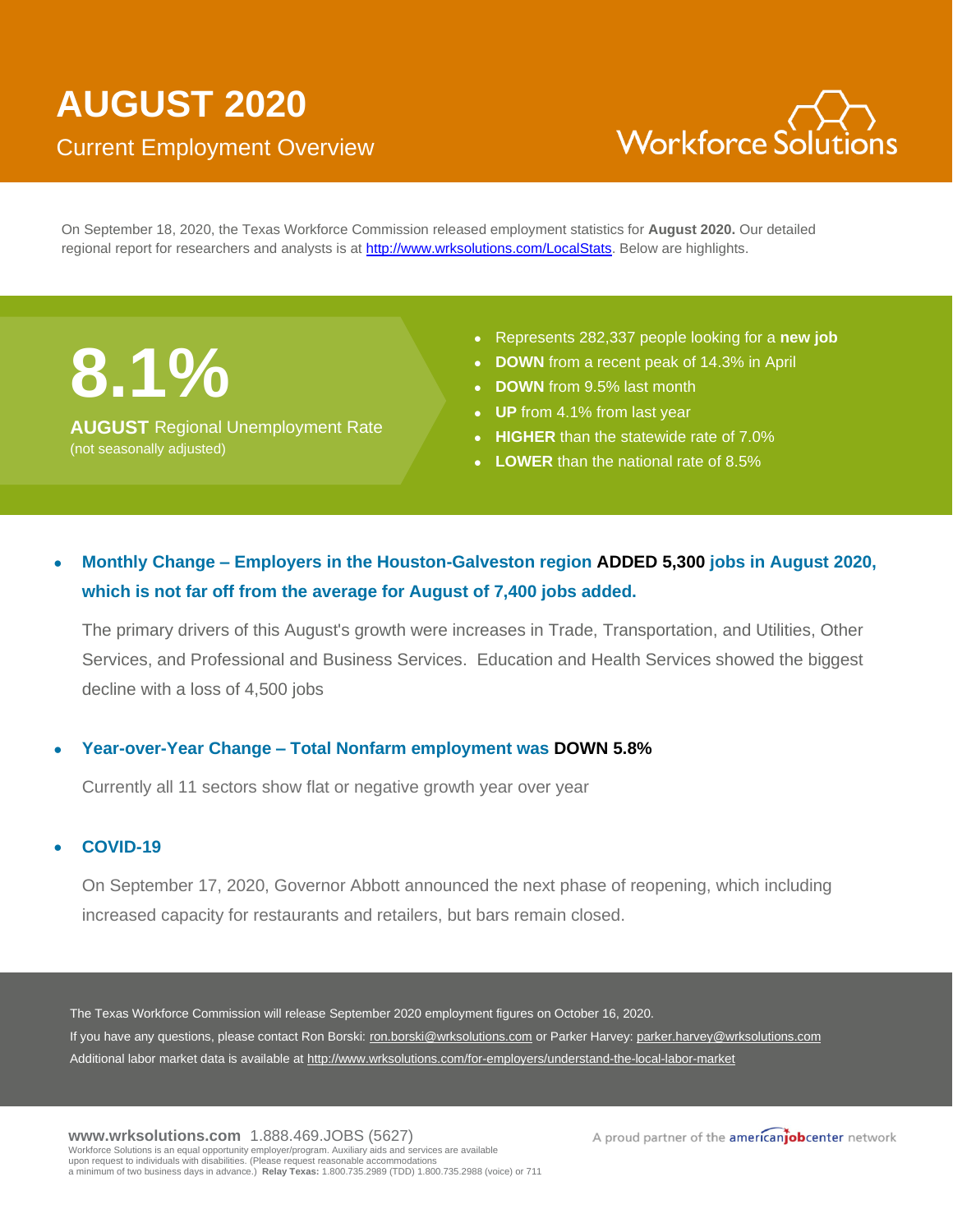

On September 18, 2020, the Texas Workforce Commission released employment statistics for **August 2020.** Our detailed regional report for researchers and analysts is at [http://www.wrksolutions.com/LocalStats.](http://www.wrksolutions.com/LocalStats) Below are highlights.

**8.1%**

**AUGUST** Regional Unemployment Rate (not seasonally adjusted)

- Represents 282,337 people looking for a **new job**
- **DOWN** from a recent peak of 14.3% in April
- **DOWN** from 9.5% last month
- **UP** from 4.1% from last year
- **HIGHER** than the statewide rate of 7.0%
- **LOWER** than the national rate of 8.5%

## • **Monthly Change – Employers in the Houston-Galveston region ADDED 5,300 jobs in August 2020, which is not far off from the average for August of 7,400 jobs added.**

The primary drivers of this August's growth were increases in Trade, Transportation, and Utilities, Other Services, and Professional and Business Services. Education and Health Services showed the biggest decline with a loss of 4,500 jobs

## • **Year-over-Year Change – Total Nonfarm employment was DOWN 5.8%**

Currently all 11 sectors show flat or negative growth year over year

## • **COVID-19**

On September 17, 2020, Governor Abbott announced the next phase of reopening, which including increased capacity for restaurants and retailers, but bars remain closed.

The Texas Workforce Commission will release September 2020 employment figures on October 16, 2020. If you have any questions, please contact Ron Borski: ron.borski@wrksolutions.com or Parker Harvey: parker.harvey@wrksolutions.com Additional labor market data is available at http://www.wrksolutions.com/for-employers/understand-the-local-labor-market

A proud partner of the americanjobcenter network